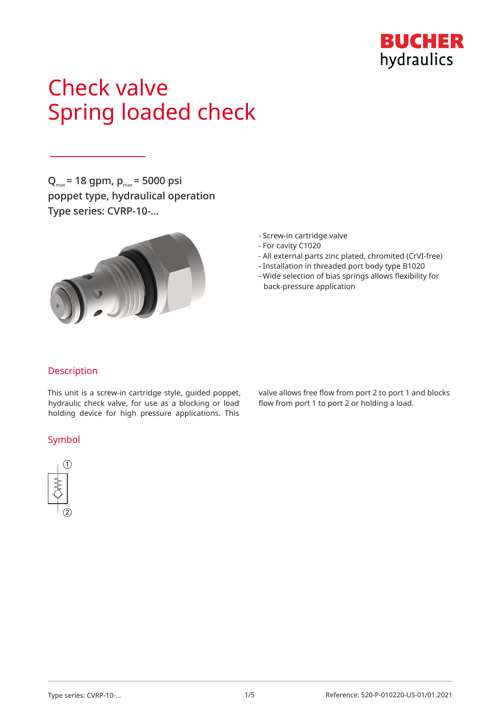

# Check valve Spring loaded check

 $Q_{\text{max}}$  = 18 gpm,  $p_{\text{max}}$  = 5000 psi poppet type, hydraulical operation Type series: CVRP-10-…



- Screw-in cartridge valve
- For cavity C1020
- All external parts zinc plated, chromited (CrVI-free)
- Installation in threaded port body type B1020
- Wide selection of bias springs allows flexibility for back-pressure application

## Description

This unit is a screw-in cartridge style, guided poppet, hydraulic check valve, for use as a blocking or load holding device for high pressure applications. This

## Symbol



valve allows free flow from port 2 to port 1 and blocks flow from port 1 to port 2 or holding a load.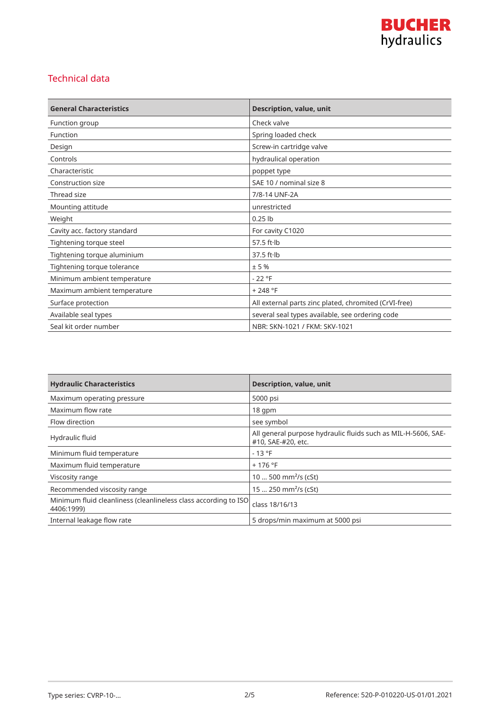

## Technical data

| <b>General Characteristics</b> | Description, value, unit                              |
|--------------------------------|-------------------------------------------------------|
| Function group                 | Check valve                                           |
| Function                       | Spring loaded check                                   |
| Design                         | Screw-in cartridge valve                              |
| Controls                       | hydraulical operation                                 |
| Characteristic                 | poppet type                                           |
| Construction size              | SAE 10 / nominal size 8                               |
| Thread size                    | 7/8-14 UNF-2A                                         |
| Mounting attitude              | unrestricted                                          |
| Weight                         | $0.25$ lb                                             |
| Cavity acc. factory standard   | For cavity C1020                                      |
| Tightening torque steel        | 57.5 $ft·lb$                                          |
| Tightening torque aluminium    | $37.5$ ft $\cdot$ lb                                  |
| Tightening torque tolerance    | ± 5%                                                  |
| Minimum ambient temperature    | $-22 °F$                                              |
| Maximum ambient temperature    | $+248 °F$                                             |
| Surface protection             | All external parts zinc plated, chromited (CrVI-free) |
| Available seal types           | several seal types available, see ordering code       |
| Seal kit order number          | NBR: SKN-1021 / FKM: SKV-1021                         |

| <b>Hydraulic Characteristics</b>                                              | <b>Description, value, unit</b>                                                     |
|-------------------------------------------------------------------------------|-------------------------------------------------------------------------------------|
| Maximum operating pressure                                                    | 5000 psi                                                                            |
| Maximum flow rate                                                             | $18$ qpm                                                                            |
| Flow direction                                                                | see symbol                                                                          |
| Hydraulic fluid                                                               | All general purpose hydraulic fluids such as MIL-H-5606, SAE-<br>#10, SAE-#20, etc. |
| Minimum fluid temperature                                                     | $-13 °F$                                                                            |
| Maximum fluid temperature                                                     | $+176$ °F                                                                           |
| Viscosity range                                                               | 10  500 mm <sup>2</sup> /s (cSt)                                                    |
| Recommended viscosity range                                                   | 15  250 mm <sup>2</sup> /s (cSt)                                                    |
| Minimum fluid cleanliness (cleanlineless class according to ISO<br>4406:1999) | class 18/16/13                                                                      |
| Internal leakage flow rate                                                    | 5 drops/min maximum at 5000 psi                                                     |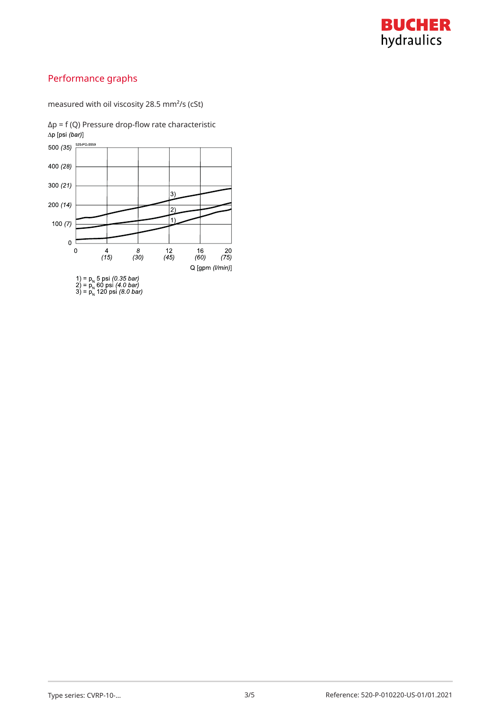

# Performance graphs

measured with oil viscosity 28.5 mm²/s (cSt)



 $Δp = f (Q)$  Pressure drop-flow rate characteristic  $Δp [psi (bar)]$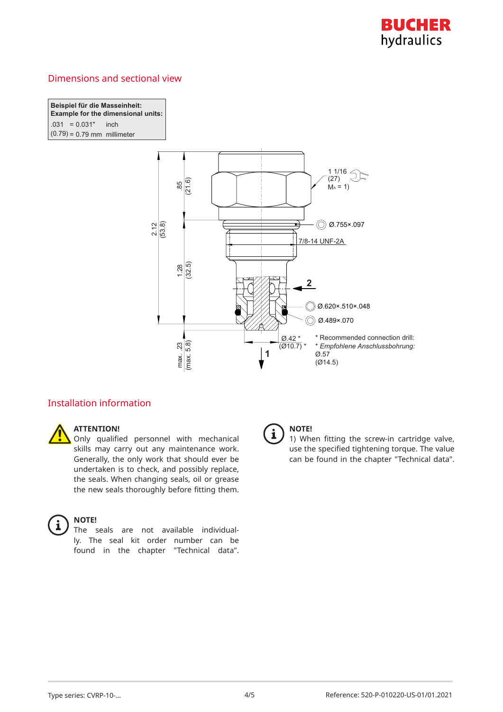

## Dimensions and sectional view

**Beispiel für die Masseinheit: Example for the dimensional units:**  $.031 = 0.031"$  inch I  $(0.79) = 0.79$  mm millimeter



## Installation information



## **ATTENTION!**

Only qualified personnel with mechanical skills may carry out any maintenance work. Generally, the only work that should ever be undertaken is to check, and possibly replace, the seals. When changing seals, oil or grease the new seals thoroughly before fitting them.



#### **NOTE!**

The seals are not available individually. The seal kit order number can be found in the chapter "Technical data".



#### **NOTE!**

1) When fitting the screw-in cartridge valve, use the specified tightening torque. The value can be found in the chapter "Technical data".